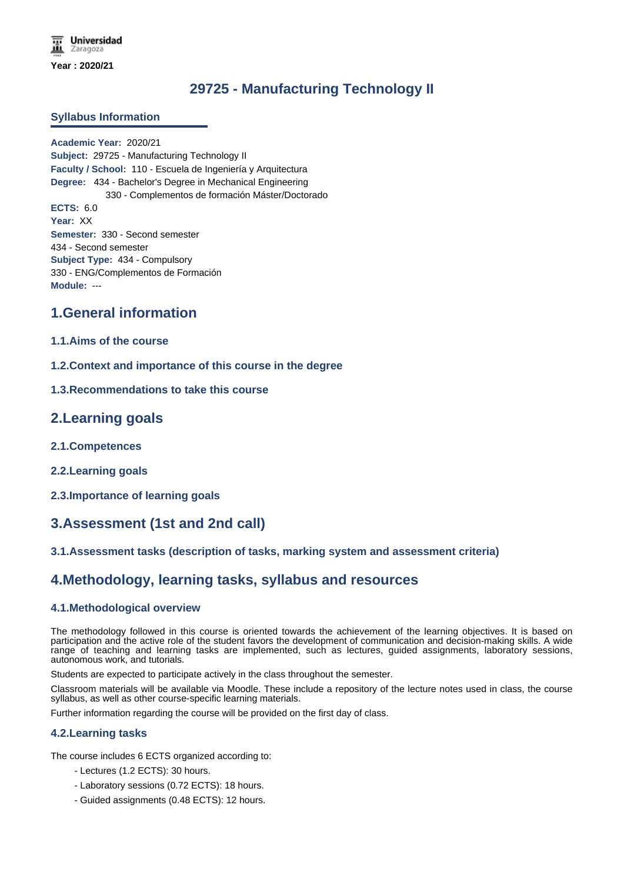# **29725 - Manufacturing Technology II**

### **Syllabus Information**

**Academic Year:** 2020/21 **Subject:** 29725 - Manufacturing Technology II **Faculty / School:** 110 - Escuela de Ingeniería y Arquitectura **Degree:** 434 - Bachelor's Degree in Mechanical Engineering 330 - Complementos de formación Máster/Doctorado **ECTS:** 6.0 **Year:** XX **Semester:** 330 - Second semester 434 - Second semester **Subject Type:** 434 - Compulsory 330 - ENG/Complementos de Formación **Module:** ---

## **1.General information**

### **1.1.Aims of the course**

**1.2.Context and importance of this course in the degree**

### **1.3.Recommendations to take this course**

### **2.Learning goals**

- **2.1.Competences**
- **2.2.Learning goals**
- **2.3.Importance of learning goals**

# **3.Assessment (1st and 2nd call)**

### **3.1.Assessment tasks (description of tasks, marking system and assessment criteria)**

## **4.Methodology, learning tasks, syllabus and resources**

### **4.1.Methodological overview**

The methodology followed in this course is oriented towards the achievement of the learning objectives. It is based on participation and the active role of the student favors the development of communication and decision-making skills. A wide range of teaching and learning tasks are implemented, such as lectures, guided assignments, laboratory sessions, autonomous work, and tutorials.

Students are expected to participate actively in the class throughout the semester.

Classroom materials will be available via Moodle. These include a repository of the lecture notes used in class, the course syllabus, as well as other course-specific learning materials.

Further information regarding the course will be provided on the first day of class.

#### **4.2.Learning tasks**

The course includes 6 ECTS organized according to:

- Lectures (1.2 ECTS): 30 hours.
- Laboratory sessions (0.72 ECTS): 18 hours.
- Guided assignments (0.48 ECTS): 12 hours.